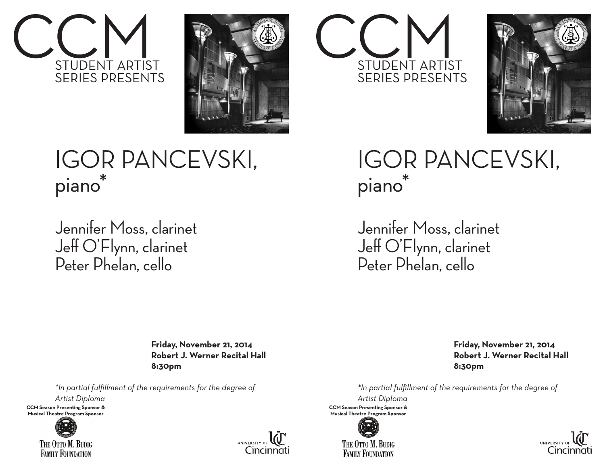



## IGOR PANCEVSKI, piano\*

Jennifer Moss, clarinet Jeff O'Flynn, clarinet Peter Phelan, cello

> **Friday, November 21, 2014 Robert J. Werner Recital Hall 8:30pm**

*\*In partial fulfillment of the requirements for the degree of*

*Artist Diploma*

**CCM Season Presenting Sponsor &** Musical Theatre Program Sponsor